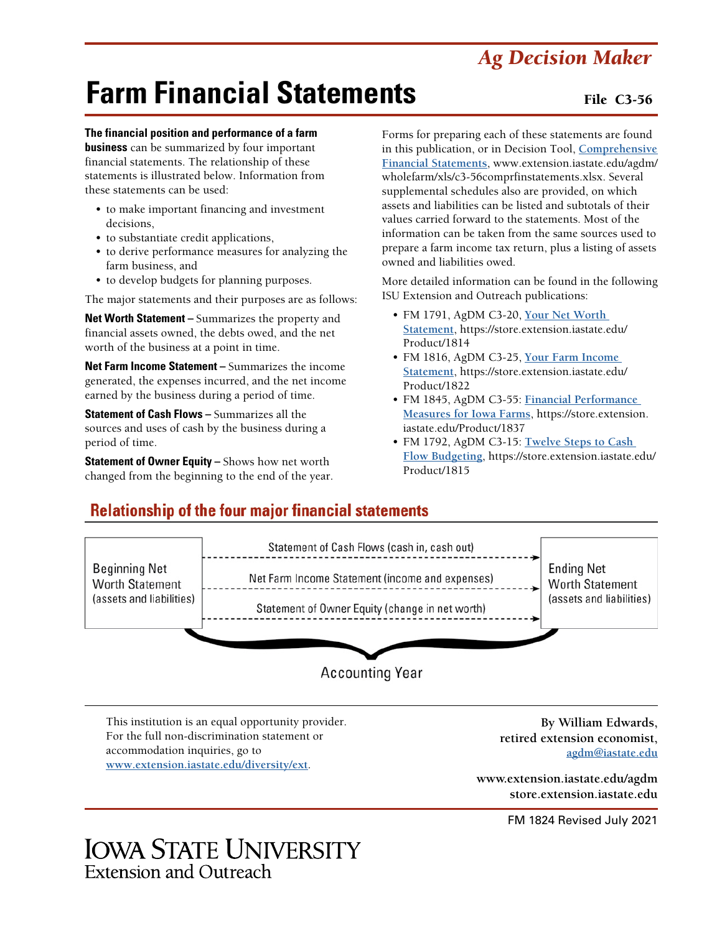## *Ag Decision Maker*

# **Farm Financial Statements**

#### File C3-56

#### **The financial position and performance of a farm**

**business** can be summarized by four important financial statements. The relationship of these statements is illustrated below. Information from these statements can be used:

- to make important financing and investment decisions,
- to substantiate credit applications,
- to derive performance measures for analyzing the farm business, and
- to develop budgets for planning purposes.

The major statements and their purposes are as follows:

**Net Worth Statement –** Summarizes the property and financial assets owned, the debts owed, and the net worth of the business at a point in time.

**Net Farm Income Statement –** Summarizes the income generated, the expenses incurred, and the net income earned by the business during a period of time.

**Statement of Cash Flows –** Summarizes all the sources and uses of cash by the business during a period of time.

**Statement of Owner Equity – Shows how net worth** changed from the beginning to the end of the year. Forms for preparing each of these statements are found in this publication, or in Decision Tool, **[Comprehensive](https://www.extension.iastate.edu/agdm/wholefarm/xls/c3-56comprfinstatements.xlsx)  [Financial Statements](https://www.extension.iastate.edu/agdm/wholefarm/xls/c3-56comprfinstatements.xlsx)**, [www.extension.iastate.edu/agdm/](http://www.extension.iastate.edu/agdm/wholefarm/xls/c3-56comprfinstatements.xlsx) [wholefarm/xls/c3-56comprfinstatements.xlsx](http://www.extension.iastate.edu/agdm/wholefarm/xls/c3-56comprfinstatements.xlsx). Several supplemental schedules also are provided, on which assets and liabilities can be listed and subtotals of their values carried forward to the statements. Most of the information can be taken from the same sources used to prepare a farm income tax return, plus a listing of assets owned and liabilities owed.

More detailed information can be found in the following ISU Extension and Outreach publications:

- FM 1791, AgDM C3-20, **[Your Net Worth](https://store.extension.iastate.edu/Product/1814
)  [Statement](https://store.extension.iastate.edu/Product/1814
)**, [https://store.extension.iastate.edu/](https://store.extension.iastate.edu/Product/1814) [Product/1814](https://store.extension.iastate.edu/Product/1814)
- FM 1816, AgDM C3-25, **[Your Farm Income](https://store.extension.iastate.edu/Product/1822)  [Statement](https://store.extension.iastate.edu/Product/1822)**, [https://store.extension.iastate.edu/](https://store.extension.iastate.edu/Product/1822) [Product/1822](https://store.extension.iastate.edu/Product/1822)
- FM 1845, AgDM C3-55: **[Financial Performance](https://store.extension.iastate.edu/Product/1837)  [Measures for Iowa Farms](https://store.extension.iastate.edu/Product/1837)**, [https://store.extension.](https://store.extension.iastate.edu/Product/1837) [iastate.edu/Product/1837](https://store.extension.iastate.edu/Product/1837)
- FM 1792, AgDM C3-15: **[Twelve Steps to Cash](https://store.extension.iastate.edu/Product/1815)  [Flow Budgeting](https://store.extension.iastate.edu/Product/1815)**, [https://store.extension.iastate.edu/](https://store.extension.iastate.edu/Product/1815) [Product/1815](https://store.extension.iastate.edu/Product/1815)

## **Relationship of the four major financial statements**



## **Accounting Year**

This institution is an equal opportunity provider. For the full non-discrimination statement or accommodation inquiries, go to **www.extension.iastate.edu/diversity/ext**.

**By William Edwards, retired extension economist, [agdm@iastate.edu](mailto:agdm%40iastate.edu%0D?subject=)**

**[www.extension.iastate.edu/agdm](http://www.extension.iastate.edu/agdm
) [store.extension.iastate.edu](https://store.extension.iastate.edu)**

FM 1824 Revised July 2021

## **IOWA STATE UNIVERSITY Extension and Outreach**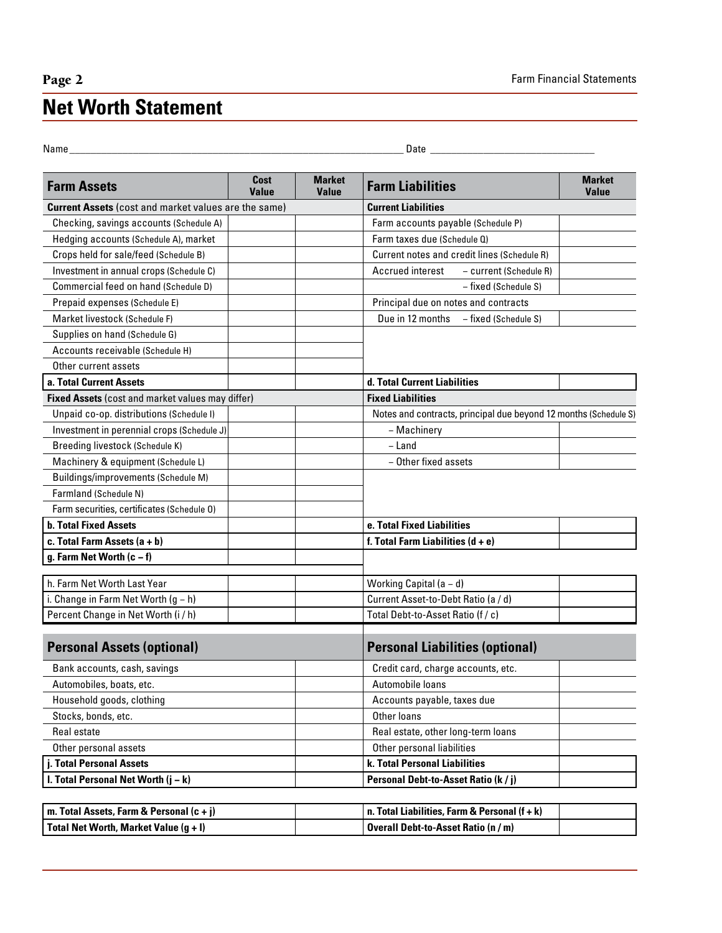## **Net Worth Statement**

Name\_\_\_\_\_\_\_\_\_\_\_\_\_\_\_\_\_\_\_\_\_\_\_\_\_\_\_\_\_\_\_\_\_\_\_\_\_\_\_\_\_\_\_\_\_\_\_\_\_\_\_\_\_\_\_\_\_\_\_\_\_\_\_ Date \_\_\_\_\_\_\_\_\_\_\_\_\_\_\_\_\_\_\_\_\_\_\_\_\_\_\_\_\_\_\_

| <b>Farm Assets</b>                                          | Cost<br><b>Value</b> | <b>Market</b><br><b>Value</b> | <b>Farm Liabilities</b>                                                                | <b>Market</b><br><b>Value</b> |
|-------------------------------------------------------------|----------------------|-------------------------------|----------------------------------------------------------------------------------------|-------------------------------|
| <b>Current Assets</b> (cost and market values are the same) |                      |                               | <b>Current Liabilities</b>                                                             |                               |
| Checking, savings accounts (Schedule A)                     |                      |                               | Farm accounts payable (Schedule P)                                                     |                               |
| Hedging accounts (Schedule A), market                       |                      |                               | Farm taxes due (Schedule Q)                                                            |                               |
| Crops held for sale/feed (Schedule B)                       |                      |                               | Current notes and credit lines (Schedule R)                                            |                               |
| Investment in annual crops (Schedule C)                     |                      |                               | Accrued interest<br>- current (Schedule R)                                             |                               |
| Commercial feed on hand (Schedule D)                        |                      |                               | - fixed (Schedule S)                                                                   |                               |
| Prepaid expenses (Schedule E)                               |                      |                               | Principal due on notes and contracts                                                   |                               |
| Market livestock (Schedule F)                               |                      |                               | Due in 12 months - fixed (Schedule S)                                                  |                               |
| Supplies on hand (Schedule G)                               |                      |                               |                                                                                        |                               |
| Accounts receivable (Schedule H)                            |                      |                               |                                                                                        |                               |
| Other current assets                                        |                      |                               |                                                                                        |                               |
| a. Total Current Assets                                     |                      |                               | d. Total Current Liabilities                                                           |                               |
| Fixed Assets (cost and market values may differ)            |                      |                               | <b>Fixed Liabilities</b>                                                               |                               |
| Unpaid co-op. distributions (Schedule I)                    |                      |                               | Notes and contracts, principal due beyond 12 months (Schedule S)                       |                               |
| Investment in perennial crops (Schedule J)                  |                      |                               | - Machinery                                                                            |                               |
| Breeding livestock (Schedule K)                             |                      |                               | $-$ Land                                                                               |                               |
| Machinery & equipment (Schedule L)                          |                      |                               | - Other fixed assets                                                                   |                               |
| Buildings/improvements (Schedule M)                         |                      |                               |                                                                                        |                               |
| Farmland (Schedule N)                                       |                      |                               |                                                                                        |                               |
| Farm securities, certificates (Schedule 0)                  |                      |                               |                                                                                        |                               |
| <b>b. Total Fixed Assets</b>                                |                      |                               | e. Total Fixed Liabilities                                                             |                               |
| c. Total Farm Assets $(a + b)$                              |                      |                               | f. Total Farm Liabilities $(d + e)$                                                    |                               |
| g. Farm Net Worth $(c - f)$                                 |                      |                               |                                                                                        |                               |
| h. Farm Net Worth Last Year                                 |                      |                               | Working Capital (a - d)                                                                |                               |
| i. Change in Farm Net Worth (g - h)                         |                      |                               | Current Asset-to-Debt Ratio (a / d)                                                    |                               |
| Percent Change in Net Worth (i / h)                         |                      |                               | Total Debt-to-Asset Ratio (f / c)                                                      |                               |
|                                                             |                      |                               |                                                                                        |                               |
| <b>Personal Assets (optional)</b>                           |                      |                               | <b>Personal Liabilities (optional)</b>                                                 |                               |
| Bank accounts, cash, savings                                |                      |                               | Credit card, charge accounts, etc.                                                     |                               |
| Automobiles, boats, etc.                                    |                      |                               | Automobile loans                                                                       |                               |
| Household goods, clothing                                   |                      |                               | Accounts payable, taxes due                                                            |                               |
| Stocks, bonds, etc.                                         |                      |                               | Other loans                                                                            |                               |
| Real estate                                                 |                      |                               | Real estate, other long-term loans                                                     |                               |
| Other personal assets                                       |                      |                               | Other personal liabilities                                                             |                               |
| <b>i. Total Personal Assets</b>                             |                      |                               | k. Total Personal Liabilities                                                          |                               |
| I. Total Personal Net Worth $(j - k)$                       |                      |                               | Personal Debt-to-Asset Ratio (k / j)                                                   |                               |
| $\overline{0}$ $\overline{D}$<br>$-11$                      |                      |                               | $T_{\rm eff}$ and the final contract $T_{\rm eff}$ and $T_{\rm eff}$ and $T_{\rm eff}$ |                               |

| m. Total Assets, Farm & Personal (c + j) | $\mid$ n. Total Liabilities, Farm & Personal (f + k) |  |
|------------------------------------------|------------------------------------------------------|--|
| Total Net Worth, Market Value (q + I)    | Overall Debt-to-Asset Ratio (n / m)                  |  |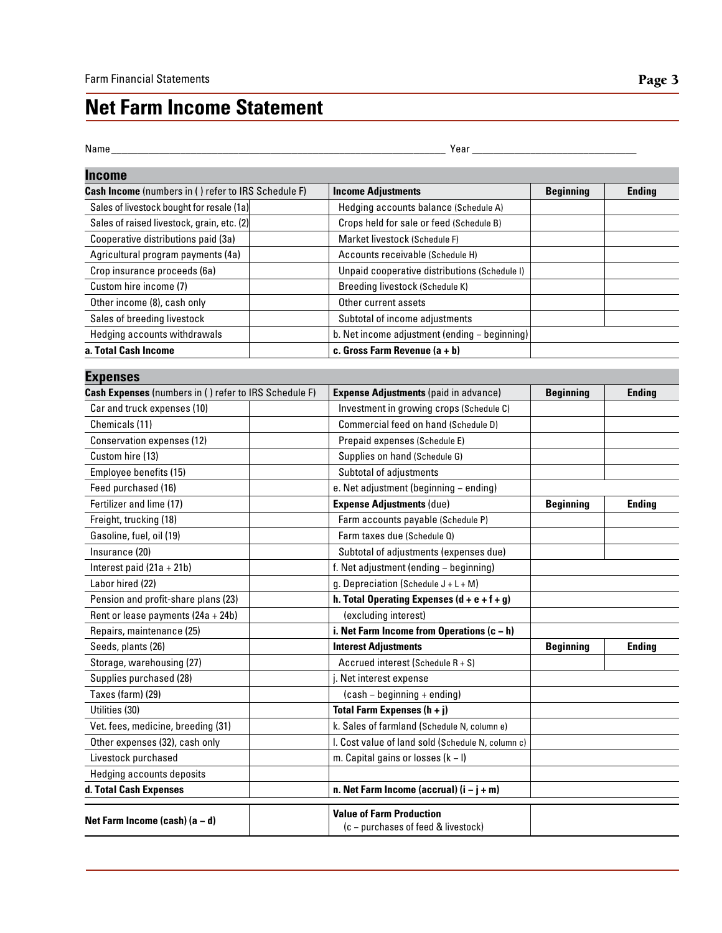## **Net Farm Income Statement**

| . .<br>۰.<br>. .<br>× |  |
|-----------------------|--|
|-----------------------|--|

Name\_\_\_\_\_\_\_\_\_\_\_\_\_\_\_\_\_\_\_\_\_\_\_\_\_\_\_\_\_\_\_\_\_\_\_\_\_\_\_\_\_\_\_\_\_\_\_\_\_\_\_\_\_\_\_\_\_\_\_\_\_\_\_ Year \_\_\_\_\_\_\_\_\_\_\_\_\_\_\_\_\_\_\_\_\_\_\_\_\_\_\_\_\_\_\_

| <b>Income</b>                                         |                                                                        |                  |               |
|-------------------------------------------------------|------------------------------------------------------------------------|------------------|---------------|
| Cash Income (numbers in () refer to IRS Schedule F)   | <b>Income Adjustments</b>                                              | <b>Beginning</b> | <b>Ending</b> |
| Sales of livestock bought for resale (1a)             | Hedging accounts balance (Schedule A)                                  |                  |               |
| Sales of raised livestock, grain, etc. (2)            | Crops held for sale or feed (Schedule B)                               |                  |               |
| Cooperative distributions paid (3a)                   | Market livestock (Schedule F)                                          |                  |               |
| Agricultural program payments (4a)                    | Accounts receivable (Schedule H)                                       |                  |               |
| Crop insurance proceeds (6a)                          | Unpaid cooperative distributions (Schedule I)                          |                  |               |
| Custom hire income (7)                                | Breeding livestock (Schedule K)                                        |                  |               |
| Other income (8), cash only                           | Other current assets                                                   |                  |               |
| Sales of breeding livestock                           | Subtotal of income adjustments                                         |                  |               |
| Hedging accounts withdrawals                          | b. Net income adjustment (ending - beginning)                          |                  |               |
| a. Total Cash Income                                  | c. Gross Farm Revenue $(a + b)$                                        |                  |               |
| <b>Expenses</b>                                       |                                                                        |                  |               |
| Cash Expenses (numbers in () refer to IRS Schedule F) | <b>Expense Adjustments</b> (paid in advance)                           | <b>Beginning</b> | <b>Ending</b> |
| Car and truck expenses (10)                           | Investment in growing crops (Schedule C)                               |                  |               |
| Chemicals (11)                                        | Commercial feed on hand (Schedule D)                                   |                  |               |
| Conservation expenses (12)                            | Prepaid expenses (Schedule E)                                          |                  |               |
| Custom hire (13)                                      | Supplies on hand (Schedule G)                                          |                  |               |
| Employee benefits (15)                                | Subtotal of adjustments                                                |                  |               |
| Feed purchased (16)                                   | e. Net adjustment (beginning - ending)                                 |                  |               |
| Fertilizer and lime (17)                              | <b>Expense Adjustments (due)</b>                                       | <b>Beginning</b> | <b>Ending</b> |
| Freight, trucking (18)                                | Farm accounts payable (Schedule P)                                     |                  |               |
| Gasoline, fuel, oil (19)                              | Farm taxes due (Schedule Q)                                            |                  |               |
| Insurance (20)                                        | Subtotal of adjustments (expenses due)                                 |                  |               |
| Interest paid (21a + 21b)                             | f. Net adjustment (ending - beginning)                                 |                  |               |
| Labor hired (22)                                      | g. Depreciation (Schedule $J + L + M$ )                                |                  |               |
| Pension and profit-share plans (23)                   | h. Total Operating Expenses $(d + e + f + g)$                          |                  |               |
| Rent or lease payments (24a + 24b)                    | (excluding interest)                                                   |                  |               |
| Repairs, maintenance (25)                             | i. Net Farm Income from Operations $(c - h)$                           |                  |               |
| Seeds, plants (26)                                    | <b>Interest Adjustments</b>                                            | <b>Beginning</b> | <b>Ending</b> |
| Storage, warehousing (27)                             | Accrued interest (Schedule R + S)                                      |                  |               |
| Supplies purchased (28)                               | j. Net interest expense                                                |                  |               |
| Taxes (farm) (29)                                     | (cash - beginning + ending)                                            |                  |               |
| Utilities (30)                                        | Total Farm Expenses $(h + j)$                                          |                  |               |
| Vet. fees, medicine, breeding (31)                    | k. Sales of farmland (Schedule N, column e)                            |                  |               |
| Other expenses (32), cash only                        | I. Cost value of land sold (Schedule N, column c)                      |                  |               |
| Livestock purchased                                   | m. Capital gains or losses $(k - l)$                                   |                  |               |
| Hedging accounts deposits                             |                                                                        |                  |               |
| d. Total Cash Expenses                                | n. Net Farm Income (accrual) $(i - j + m)$                             |                  |               |
| Net Farm Income (cash) $(a - d)$                      | <b>Value of Farm Production</b><br>(c - purchases of feed & livestock) |                  |               |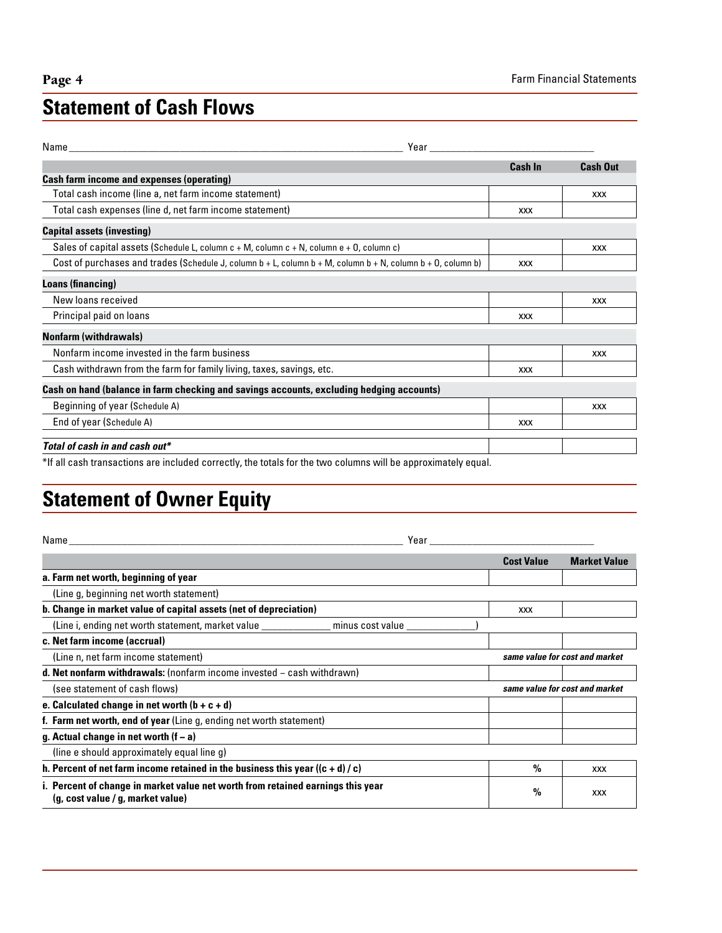## **Statement of Cash Flows**

| Name<br>Year                                                                                                            |                |                 |
|-------------------------------------------------------------------------------------------------------------------------|----------------|-----------------|
|                                                                                                                         | <b>Cash In</b> | <b>Cash Out</b> |
| <b>Cash farm income and expenses (operating)</b>                                                                        |                |                 |
| Total cash income (line a, net farm income statement)                                                                   |                | <b>XXX</b>      |
| Total cash expenses (line d, net farm income statement)                                                                 | <b>XXX</b>     |                 |
| <b>Capital assets (investing)</b>                                                                                       |                |                 |
| Sales of capital assets (Schedule L, column $c + M$ , column $c + N$ , column $e + O$ , column c)                       |                | <b>XXX</b>      |
| Cost of purchases and trades (Schedule J, column $b + L$ , column $b + M$ , column $b + N$ , column $b + O$ , column b) | <b>XXX</b>     |                 |
| <b>Loans (financing)</b>                                                                                                |                |                 |
| New loans received                                                                                                      |                | <b>XXX</b>      |
| Principal paid on loans                                                                                                 | <b>XXX</b>     |                 |
| <b>Nonfarm (withdrawals)</b>                                                                                            |                |                 |
| Nonfarm income invested in the farm business                                                                            |                | <b>XXX</b>      |
| Cash withdrawn from the farm for family living, taxes, savings, etc.                                                    | <b>XXX</b>     |                 |
| Cash on hand (balance in farm checking and savings accounts, excluding hedging accounts)                                |                |                 |
| Beginning of year (Schedule A)                                                                                          |                | <b>XXX</b>      |
| End of year (Schedule A)                                                                                                | <b>XXX</b>     |                 |
| Total of cash in and cash out*                                                                                          |                |                 |
| *If all cash transactions are included correctly, the totals for the two columns will be approximately equal.           |                |                 |

## **Statement of Owner Equity**

Name\_\_\_\_\_\_\_\_\_\_\_\_\_\_\_\_\_\_\_\_\_\_\_\_\_\_\_\_\_\_\_\_\_\_\_\_\_\_\_\_\_\_\_\_\_\_\_\_\_\_\_\_\_\_\_\_\_\_\_\_\_\_\_ Year \_\_\_\_\_\_\_\_\_\_\_\_\_\_\_\_\_\_\_\_\_\_\_\_\_\_\_\_\_\_\_ **Cost Value Market Value a. Farm net worth, beginning of year** (Line g, beginning net worth statement) **b. Change in market value of capital assets (net of depreciation)** xxx (Line i, ending net worth statement, market value \_\_\_\_\_\_\_\_\_\_\_\_\_\_\_\_ minus cost value **c. Net farm income (accrual)** (Line n, net farm income statement) *same value for cost and market* **d. Net nonfarm withdrawals:** (nonfarm income invested − cash withdrawn) (see statement of cash flows) *same value for cost and market* **e. Calculated change in net worth (b + c + d) f. Farm net worth, end of year** (Line g, ending net worth statement) **g. Actual change in net worth (f − a)** (line e should approximately equal line g) **h. Percent of net farm income retained in the business this year**  $((c + d) / c)$  $\qquad \qquad$  $\qquad \qquad$  $\qquad \qquad$  $\qquad \qquad$  **xxx i. Percent of change in market value net worth from retained earnings this year (g, cost value / g, market value) %** xxx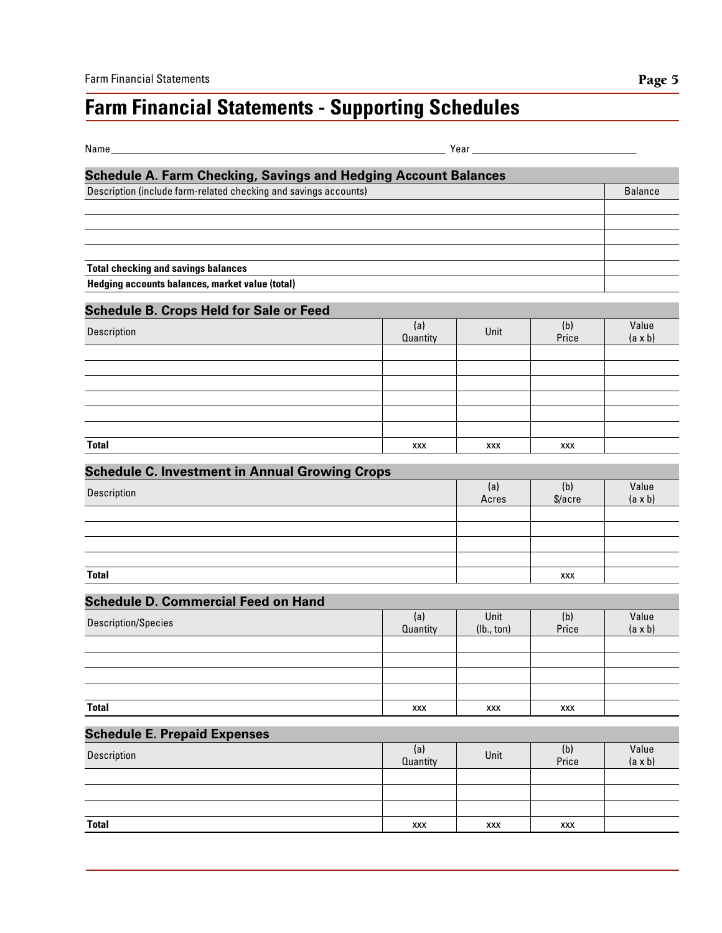## **Farm Financial Statements - Supporting Schedules**

| Year $_{-}$<br>Name                                                    |                        |              |                          |                         |
|------------------------------------------------------------------------|------------------------|--------------|--------------------------|-------------------------|
| <b>Schedule A. Farm Checking, Savings and Hedging Account Balances</b> |                        |              |                          |                         |
| Description (include farm-related checking and savings accounts)       |                        |              |                          | <b>Balance</b>          |
|                                                                        |                        |              |                          |                         |
|                                                                        |                        |              |                          |                         |
|                                                                        |                        |              |                          |                         |
| <b>Total checking and savings balances</b>                             |                        |              |                          |                         |
| Hedging accounts balances, market value (total)                        |                        |              |                          |                         |
| <b>Schedule B. Crops Held for Sale or Feed</b>                         |                        |              |                          |                         |
| Description                                                            | (a)<br><b>Quantity</b> | Unit         | (b)<br>Price             | Value<br>$(a \times b)$ |
|                                                                        |                        |              |                          |                         |
|                                                                        |                        |              |                          |                         |
|                                                                        |                        |              |                          |                         |
|                                                                        |                        |              |                          |                         |
|                                                                        |                        |              |                          |                         |
| <b>Total</b>                                                           | XXX                    | <b>XXX</b>   | <b>XXX</b>               |                         |
| <b>Schedule C. Investment in Annual Growing Crops</b>                  |                        |              |                          |                         |
| Description                                                            |                        | (a)<br>Acres | (b)<br>$\frac{2}{a}$ cre | Value<br>$(a \times b)$ |
|                                                                        |                        |              |                          |                         |
|                                                                        |                        |              |                          |                         |
|                                                                        |                        |              |                          |                         |
| <b>Total</b>                                                           |                        |              | <b>XXX</b>               |                         |
|                                                                        |                        |              |                          |                         |
| <b>Schedule D. Commercial Feed on Hand</b>                             |                        | Unit         |                          | Value                   |
| <b>Description/Species</b>                                             | (a)<br><b>Quantity</b> | (lb., ton)   | (b)<br>Price             | $(a \times b)$          |
|                                                                        |                        |              |                          |                         |
|                                                                        |                        |              |                          |                         |
|                                                                        |                        |              |                          |                         |
| <b>Total</b>                                                           | <b>XXX</b>             | XXX          | XXX                      |                         |
| <b>Schedule E. Prepaid Expenses</b>                                    |                        |              |                          |                         |
|                                                                        | (a)                    |              | (b)                      | Value                   |
| Description                                                            | Quantity               | Unit         | Price                    | $(a \times b)$          |
|                                                                        |                        |              |                          |                         |
|                                                                        |                        |              |                          |                         |
| <b>Total</b>                                                           | XXX                    | XXX          | <b>XXX</b>               |                         |
|                                                                        |                        |              |                          |                         |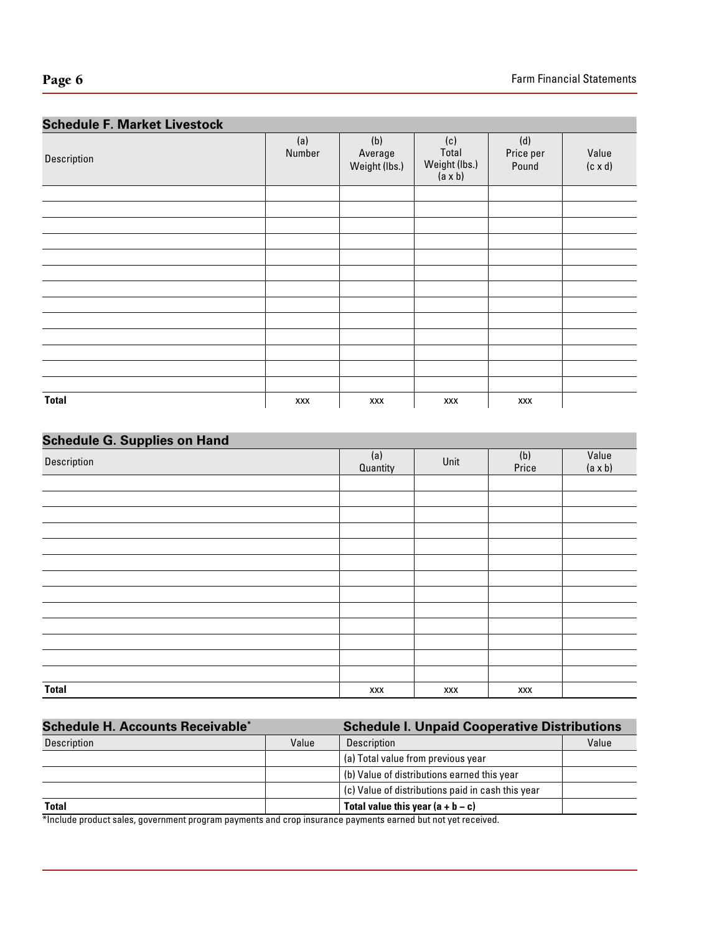## **Schedule F. Market Livestock** Description (a) Number (b) Average Weight (lbs.) (c) Total Weight (lbs.)  $(a \times b)$ (d) Price per Pound Value (c x d) **Total**  $\begin{array}{|c|c|c|c|c|c|c|}\n\hline\n\text{Total} & \text{xxxx} & \text{xxxx} & \text{xxxx} & \text{xxxx} & \text{xxxx} \end{array}$

### **Schedule G. Supplies on Hand**

| Description  | (a)<br>Quantity | Unit | (b)<br>Price | Value<br>$(a \times b)$ |
|--------------|-----------------|------|--------------|-------------------------|
|              |                 |      |              |                         |
|              |                 |      |              |                         |
|              |                 |      |              |                         |
|              |                 |      |              |                         |
|              |                 |      |              |                         |
|              |                 |      |              |                         |
|              |                 |      |              |                         |
|              |                 |      |              |                         |
|              |                 |      |              |                         |
|              |                 |      |              |                         |
|              |                 |      |              |                         |
|              |                 |      |              |                         |
|              |                 |      |              |                         |
| <b>Total</b> | XXX             | XXX  | XXX          |                         |

| <b>Schedule H. Accounts Receivable*</b> |       | <b>Schedule I. Unpaid Cooperative Distributions</b> |       |  |
|-----------------------------------------|-------|-----------------------------------------------------|-------|--|
| Description                             | Value | Description                                         | Value |  |
|                                         |       | (a) Total value from previous year                  |       |  |
|                                         |       | (b) Value of distributions earned this year         |       |  |
|                                         |       | (c) Value of distributions paid in cash this year   |       |  |
| <b>Total</b>                            |       | Total value this year $(a + b - c)$                 |       |  |

\*Include product sales, government program payments and crop insurance payments earned but not yet received.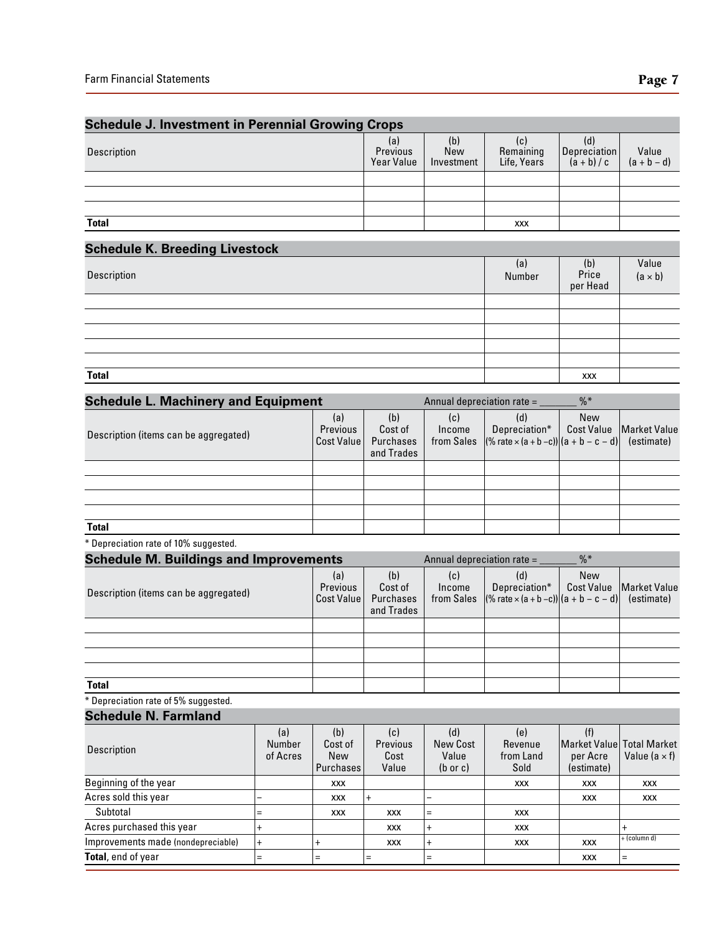| <b>Schedule J. Investment in Perennial Growing Crops</b> |                               |                          |                                |                                    |                        |  |
|----------------------------------------------------------|-------------------------------|--------------------------|--------------------------------|------------------------------------|------------------------|--|
| Description                                              | (a)<br>Previous<br>Year Value | (b)<br>New<br>Investment | c)<br>Remaining<br>Life, Years | (d)<br>Depreciation<br>(a + b) / c | Value<br>$(a + b - d)$ |  |
|                                                          |                               |                          |                                |                                    |                        |  |
|                                                          |                               |                          |                                |                                    |                        |  |
|                                                          |                               |                          |                                |                                    |                        |  |
| <b>Total</b>                                             |                               |                          | <b>XXX</b>                     |                                    |                        |  |
| <b>Schedule K. Breeding Livestock</b>                    |                               |                          |                                |                                    |                        |  |
|                                                          |                               |                          | $\sqrt{1}$                     | $\cdots$                           | $\cdots$               |  |

| Description  | (a)<br>Number | (b)<br>Price<br>per Head | Value<br>(a $\times$ b) |
|--------------|---------------|--------------------------|-------------------------|
|              |               |                          |                         |
|              |               |                          |                         |
|              |               |                          |                         |
|              |               |                          |                         |
|              |               |                          |                         |
| <b>Total</b> |               | XXX                      |                         |

| <b>Schedule L. Machinery and Equipment</b> |                               | $%$ $*$<br>Annual depreciation rate $=$   |               |                                                                                                    |     |                           |
|--------------------------------------------|-------------------------------|-------------------------------------------|---------------|----------------------------------------------------------------------------------------------------|-----|---------------------------|
| Description (items can be aggregated)      | (a)<br>Previous<br>Cost Value | (b)<br>Cost of<br>Purchases<br>and Trades | (c)<br>Income | (d)<br>Depreciation*<br>from Sales $ (%$ rate $\times$ (a + b - c)) $ (a + b - c - d) $ (estimate) | New | Cost Value   Market Value |
|                                            |                               |                                           |               |                                                                                                    |     |                           |
|                                            |                               |                                           |               |                                                                                                    |     |                           |
|                                            |                               |                                           |               |                                                                                                    |     |                           |
|                                            |                               |                                           |               |                                                                                                    |     |                           |
| <b>Total</b>                               |                               |                                           |               |                                                                                                    |     |                           |

\* Depreciation rate of 10% suggested.

| <b>Schedule M. Buildings and Improvements</b> |                               | $\frac{9}{6}$ *<br>Annual depreciation rate = $\overline{\phantom{a}}$ |               |                                                                                                   |     |                           |
|-----------------------------------------------|-------------------------------|------------------------------------------------------------------------|---------------|---------------------------------------------------------------------------------------------------|-----|---------------------------|
| Description (items can be aggregated)         | (a)<br>Previous<br>Cost Value | (b)<br>Cost of<br>Purchases<br>and Trades                              | (c)<br>Income | (d)<br>Depreciation*<br>from Sales $ (%$ rate $\times$ (a + b -c)) $ (a + b - c - d) $ (estimate) | New | Cost Value   Market Value |
|                                               |                               |                                                                        |               |                                                                                                   |     |                           |
|                                               |                               |                                                                        |               |                                                                                                   |     |                           |
|                                               |                               |                                                                        |               |                                                                                                   |     |                           |
|                                               |                               |                                                                        |               |                                                                                                   |     |                           |
| <b>Total</b>                                  |                               |                                                                        |               |                                                                                                   |     |                           |

\* Depreciation rate of 5% suggested.

### **Schedule N. Farmland**

| Description                        | (a)<br>Number<br>of Acres | (b)<br>Cost of<br>New<br>  Purchases | (c)<br><b>Previous</b><br>Cost<br>Value | (d)<br>New Cost<br>Value<br>$(b \text{ or } c)$ | (e)<br>Revenue<br>from Land<br>Sold | Market Valuel Total Market<br>per Acre<br>(estimate) | Value (a $\times$ f) |
|------------------------------------|---------------------------|--------------------------------------|-----------------------------------------|-------------------------------------------------|-------------------------------------|------------------------------------------------------|----------------------|
| Beginning of the year              |                           | <b>XXX</b>                           |                                         |                                                 | <b>XXX</b>                          | <b>XXX</b>                                           | <b>XXX</b>           |
| Acres sold this year               |                           | <b>XXX</b>                           | $\pm$                                   |                                                 |                                     | <b>XXX</b>                                           | <b>XXX</b>           |
| Subtotal                           |                           | <b>XXX</b>                           | <b>XXX</b>                              | $=$                                             | <b>XXX</b>                          |                                                      |                      |
| Acres purchased this year          |                           |                                      | <b>XXX</b>                              |                                                 | <b>XXX</b>                          |                                                      |                      |
| Improvements made (nondepreciable) |                           |                                      | <b>XXX</b>                              |                                                 | <b>XXX</b>                          | <b>XXX</b>                                           | $+$ (column d)       |
| <b>Total</b> , end of year         |                           |                                      | $=$                                     |                                                 |                                     | <b>XXX</b>                                           | $=$                  |